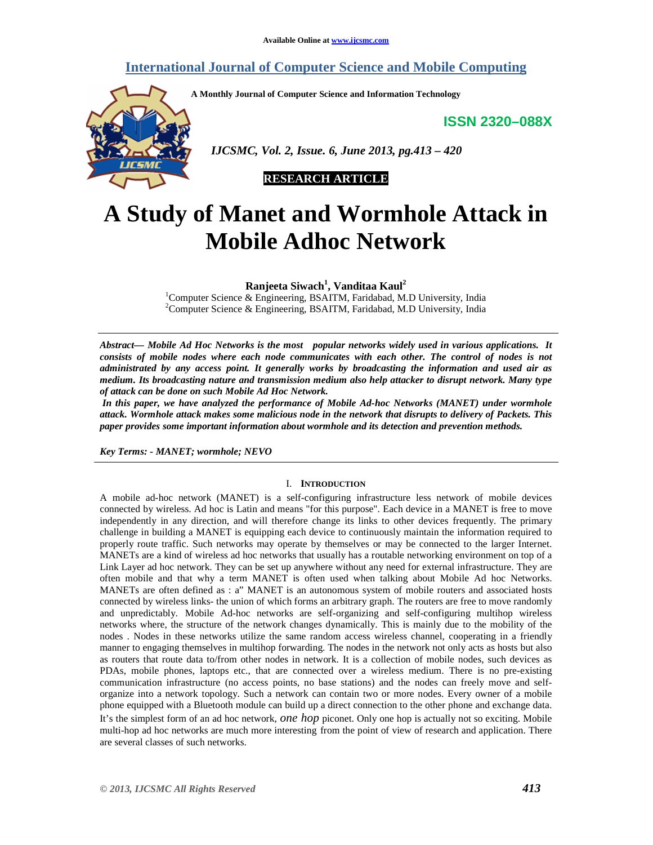# **International Journal of Computer Science and Mobile Computing**

**A Monthly Journal of Computer Science and Information Technology** 

**ISSN 2320–088X**



 *IJCSMC, Vol. 2, Issue. 6, June 2013, pg.413 – 420* 



# **A Study of Manet and Wormhole Attack in Mobile Adhoc Network**

**Ranjeeta Siwach<sup>1</sup> , Vanditaa Kaul<sup>2</sup>**

<sup>1</sup>Computer Science & Engineering, BSAITM, Faridabad, M.D University, India <sup>2</sup>Computer Science & Engineering, BSAITM, Faridabad, M.D University, India

*Abstract— Mobile Ad Hoc Networks is the most popular networks widely used in various applications. It consists of mobile nodes where each node communicates with each other. The control of nodes is not administrated by any access point. It generally works by broadcasting the information and used air as medium. Its broadcasting nature and transmission medium also help attacker to disrupt network. Many type of attack can be done on such Mobile Ad Hoc Network.* 

 *In this paper, we have analyzed the performance of Mobile Ad-hoc Networks (MANET) under wormhole attack. Wormhole attack makes some malicious node in the network that disrupts to delivery of Packets. This paper provides some important information about wormhole and its detection and prevention methods.* 

*Key Terms: - MANET; wormhole; NEVO* 

#### I. **INTRODUCTION**

A mobile ad-hoc network (MANET) is a self-configuring infrastructure less network of mobile devices connected by wireless. Ad hoc is Latin and means "for this purpose". Each device in a MANET is free to move independently in any direction, and will therefore change its links to other devices frequently. The primary challenge in building a MANET is equipping each device to continuously maintain the information required to properly route traffic. Such networks may operate by themselves or may be connected to the larger Internet. MANETs are a kind of wireless ad hoc networks that usually has a routable networking environment on top of a Link Layer ad hoc network. They can be set up anywhere without any need for external infrastructure. They are often mobile and that why a term MANET is often used when talking about Mobile Ad hoc Networks. MANETs are often defined as : a" MANET is an autonomous system of mobile routers and associated hosts connected by wireless links- the union of which forms an arbitrary graph. The routers are free to move randomly and unpredictably. Mobile Ad-hoc networks are self-organizing and self-configuring multihop wireless networks where, the structure of the network changes dynamically. This is mainly due to the mobility of the nodes . Nodes in these networks utilize the same random access wireless channel, cooperating in a friendly manner to engaging themselves in multihop forwarding. The nodes in the network not only acts as hosts but also as routers that route data to/from other nodes in network. It is a collection of mobile nodes, such devices as PDAs, mobile phones, laptops etc., that are connected over a wireless medium. There is no pre-existing communication infrastructure (no access points, no base stations) and the nodes can freely move and selforganize into a network topology. Such a network can contain two or more nodes. Every owner of a mobile phone equipped with a Bluetooth module can build up a direct connection to the other phone and exchange data. It's the simplest form of an ad hoc network, *one hop* piconet. Only one hop is actually not so exciting. Mobile multi-hop ad hoc networks are much more interesting from the point of view of research and application. There are several classes of such networks.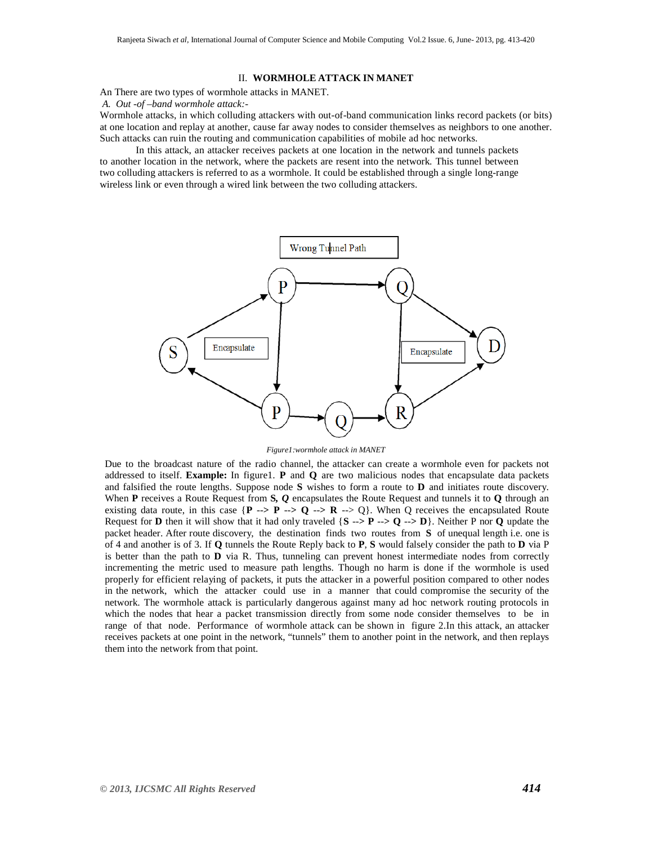#### II. **WORMHOLE ATTACK IN MANET**

An There are two types of wormhole attacks in MANET.

 *A. Out -of –band wormhole attack:-*

Wormhole attacks, in which colluding attackers with out-of-band communication links record packets (or bits) at one location and replay at another, cause far away nodes to consider themselves as neighbors to one another. Such attacks can ruin the routing and communication capabilities of mobile ad hoc networks.

In this attack, an attacker receives packets at one location in the network and tunnels packets to another location in the network, where the packets are resent into the network. This tunnel between two colluding attackers is referred to as a wormhole. It could be established through a single long-range wireless link or even through a wired link between the two colluding attackers.



*Figure1:wormhole attack in MANET* 

Due to the broadcast nature of the radio channel, the attacker can create a wormhole even for packets not addressed to itself. **Example:** In figure1. **P** and **Q** are two malicious nodes that encapsulate data packets and falsified the route lengths. Suppose node **S** wishes to form a route to **D** and initiates route discovery. When **P** receives a Route Request from **S***, Q* encapsulates the Route Request and tunnels it to **Q** through an existing data route, in this case  $\{P \rightarrow P \rightarrow Q \rightarrow R \rightarrow Q\}$ . When Q receives the encapsulated Route Request for **D** then it will show that it had only traveled  $\{S \rightarrow > P \rightarrow Q \rightarrow D\}$ . Neither P nor **Q** update the packet header. After route discovery, the destination finds two routes from **S** of unequal length i.e. one is of 4 and another is of 3. If **Q** tunnels the Route Reply back to **P**, **S** would falsely consider the path to **D** via P is better than the path to **D** via R. Thus, tunneling can prevent honest intermediate nodes from correctly incrementing the metric used to measure path lengths. Though no harm is done if the wormhole is used properly for efficient relaying of packets, it puts the attacker in a powerful position compared to other nodes in the network, which the attacker could use in a manner that could compromise the security of the network. The wormhole attack is particularly dangerous against many ad hoc network routing protocols in which the nodes that hear a packet transmission directly from some node consider themselves to be in range of that node. Performance of wormhole attack can be shown in figure 2.In this attack, an attacker receives packets at one point in the network, "tunnels" them to another point in the network, and then replays them into the network from that point.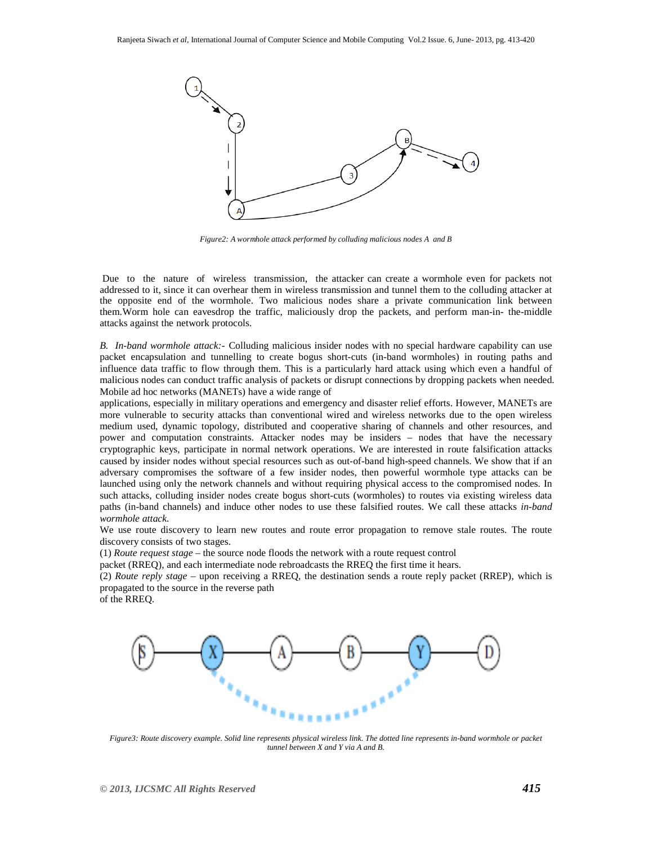

*Figure2: A wormhole attack performed by colluding malicious nodes A and B* 

 Due to the nature of wireless transmission, the attacker can create a wormhole even for packets not addressed to it, since it can overhear them in wireless transmission and tunnel them to the colluding attacker at the opposite end of the wormhole. Two malicious nodes share a private communication link between them.Worm hole can eavesdrop the traffic, maliciously drop the packets, and perform man-in- the-middle attacks against the network protocols.

*B. In-band wormhole attack:-* Colluding malicious insider nodes with no special hardware capability can use packet encapsulation and tunnelling to create bogus short-cuts (in-band wormholes) in routing paths and influence data traffic to flow through them. This is a particularly hard attack using which even a handful of malicious nodes can conduct traffic analysis of packets or disrupt connections by dropping packets when needed. Mobile ad hoc networks (MANETs) have a wide range of

applications, especially in military operations and emergency and disaster relief efforts. However, MANETs are more vulnerable to security attacks than conventional wired and wireless networks due to the open wireless medium used, dynamic topology, distributed and cooperative sharing of channels and other resources, and power and computation constraints. Attacker nodes may be insiders – nodes that have the necessary cryptographic keys, participate in normal network operations. We are interested in route falsification attacks caused by insider nodes without special resources such as out-of-band high-speed channels. We show that if an adversary compromises the software of a few insider nodes, then powerful wormhole type attacks can be launched using only the network channels and without requiring physical access to the compromised nodes. In such attacks, colluding insider nodes create bogus short-cuts (wormholes) to routes via existing wireless data paths (in-band channels) and induce other nodes to use these falsified routes. We call these attacks *in-band wormhole attack.* 

We use route discovery to learn new routes and route error propagation to remove stale routes. The route discovery consists of two stages.

(1) *Route request stage* – the source node floods the network with a route request control

packet (RREQ), and each intermediate node rebroadcasts the RREQ the first time it hears.

(2) *Route reply stage* – upon receiving a RREQ, the destination sends a route reply packet (RREP), which is propagated to the source in the reverse path

of the RREQ.



*Figure3: Route discovery example. Solid line represents physical wireless link. The dotted line represents in-band wormhole or packet tunnel between X and Y via A and B.*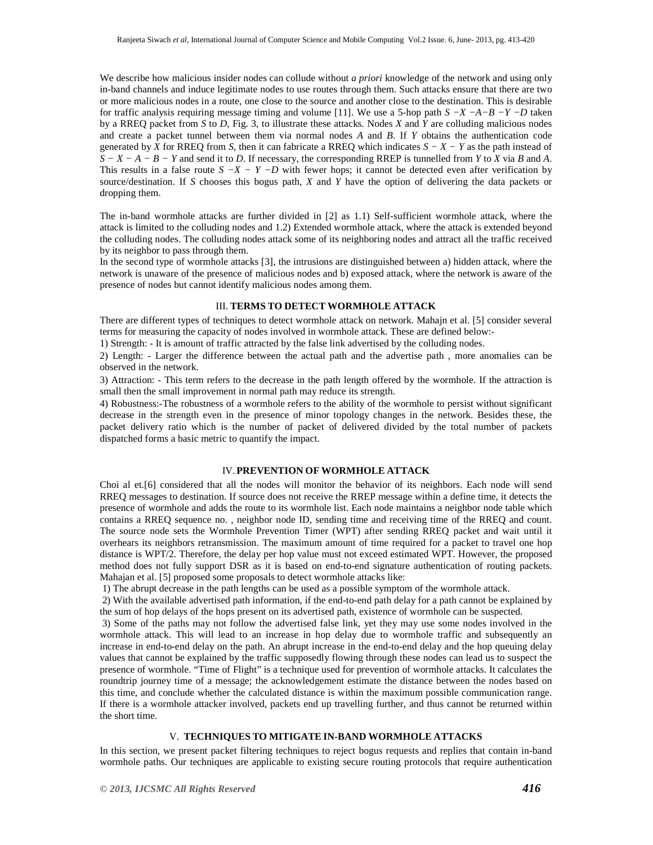We describe how malicious insider nodes can collude without *a priori* knowledge of the network and using only in-band channels and induce legitimate nodes to use routes through them. Such attacks ensure that there are two or more malicious nodes in a route, one close to the source and another close to the destination. This is desirable for traffic analysis requiring message timing and volume [11]. We use a 5-hop path *S −X −A−B −Y −D* taken by a RREQ packet from *S* to *D*, Fig. 3, to illustrate these attacks. Nodes *X* and *Y* are colluding malicious nodes and create a packet tunnel between them via normal nodes *A* and *B*. If *Y* obtains the authentication code generated by *X* for RREQ from *S*, then it can fabricate a RREQ which indicates  $S - X - Y$  as the path instead of *S − X − A − B − Y* and send it to *D*. If necessary, the corresponding RREP is tunnelled from *Y* to *X* via *B* and *A*. This results in a false route  $S - X - Y - D$  with fewer hops; it cannot be detected even after verification by source/destination. If *S* chooses this bogus path, *X* and *Y* have the option of delivering the data packets or dropping them.

The in-band wormhole attacks are further divided in [2] as 1.1) Self-sufficient wormhole attack, where the attack is limited to the colluding nodes and 1.2) Extended wormhole attack, where the attack is extended beyond the colluding nodes. The colluding nodes attack some of its neighboring nodes and attract all the traffic received by its neighbor to pass through them.

In the second type of wormhole attacks [3], the intrusions are distinguished between a) hidden attack, where the network is unaware of the presence of malicious nodes and b) exposed attack, where the network is aware of the presence of nodes but cannot identify malicious nodes among them.

#### III. **TERMS TO DETECT WORMHOLE ATTACK**

There are different types of techniques to detect wormhole attack on network. Mahajn et al. [5] consider several terms for measuring the capacity of nodes involved in wormhole attack. These are defined below:-

1) Strength: - It is amount of traffic attracted by the false link advertised by the colluding nodes.

2) Length: - Larger the difference between the actual path and the advertise path , more anomalies can be observed in the network.

3) Attraction: - This term refers to the decrease in the path length offered by the wormhole. If the attraction is small then the small improvement in normal path may reduce its strength.

4) Robustness:-The robustness of a wormhole refers to the ability of the wormhole to persist without significant decrease in the strength even in the presence of minor topology changes in the network. Besides these, the packet delivery ratio which is the number of packet of delivered divided by the total number of packets dispatched forms a basic metric to quantify the impact.

# IV.**PREVENTION OF WORMHOLE ATTACK**

Choi al et.[6] considered that all the nodes will monitor the behavior of its neighbors. Each node will send RREQ messages to destination. If source does not receive the RREP message within a define time, it detects the presence of wormhole and adds the route to its wormhole list. Each node maintains a neighbor node table which contains a RREQ sequence no. , neighbor node ID, sending time and receiving time of the RREQ and count. The source node sets the Wormhole Prevention Timer (WPT) after sending RREQ packet and wait until it overhears its neighbors retransmission. The maximum amount of time required for a packet to travel one hop distance is WPT/2. Therefore, the delay per hop value must not exceed estimated WPT. However, the proposed method does not fully support DSR as it is based on end-to-end signature authentication of routing packets. Mahajan et al. [5] proposed some proposals to detect wormhole attacks like:

1) The abrupt decrease in the path lengths can be used as a possible symptom of the wormhole attack.

 2) With the available advertised path information, if the end-to-end path delay for a path cannot be explained by the sum of hop delays of the hops present on its advertised path, existence of wormhole can be suspected.

 3) Some of the paths may not follow the advertised false link, yet they may use some nodes involved in the wormhole attack. This will lead to an increase in hop delay due to wormhole traffic and subsequently an increase in end-to-end delay on the path. An abrupt increase in the end-to-end delay and the hop queuing delay values that cannot be explained by the traffic supposedly flowing through these nodes can lead us to suspect the presence of wormhole. "Time of Flight" is a technique used for prevention of wormhole attacks. It calculates the roundtrip journey time of a message; the acknowledgement estimate the distance between the nodes based on this time, and conclude whether the calculated distance is within the maximum possible communication range. If there is a wormhole attacker involved, packets end up travelling further, and thus cannot be returned within the short time.

# V. **TECHNIQUES TO MITIGATE IN-BAND WORMHOLE ATTACKS**

In this section, we present packet filtering techniques to reject bogus requests and replies that contain in-band wormhole paths. Our techniques are applicable to existing secure routing protocols that require authentication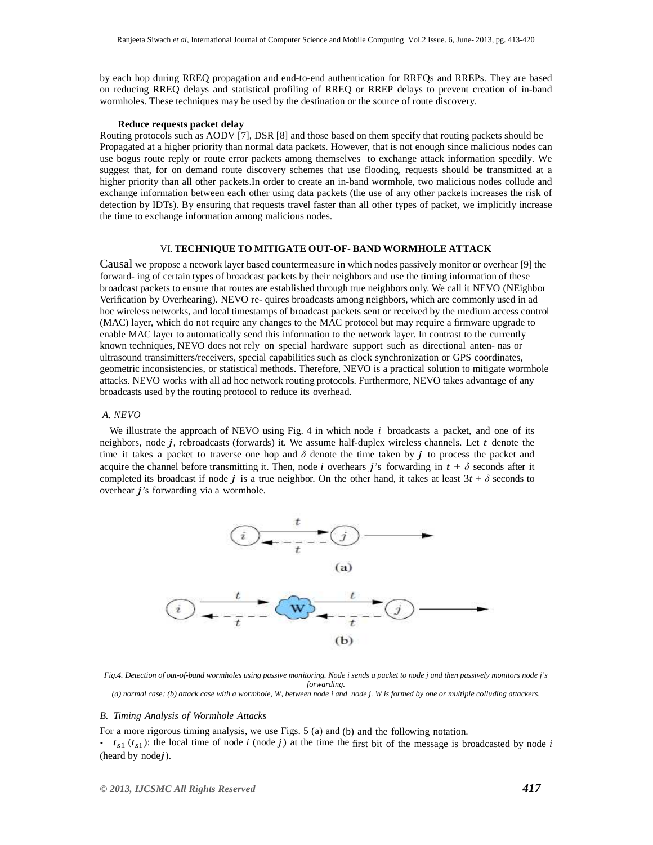by each hop during RREQ propagation and end-to-end authentication for RREQs and RREPs. They are based on reducing RREQ delays and statistical profiling of RREQ or RREP delays to prevent creation of in-band wormholes. These techniques may be used by the destination or the source of route discovery.

#### **Reduce requests packet delay**

Routing protocols such as AODV [7], DSR [8] and those based on them specify that routing packets should be Propagated at a higher priority than normal data packets. However, that is not enough since malicious nodes can use bogus route reply or route error packets among themselves to exchange attack information speedily. We suggest that, for on demand route discovery schemes that use flooding, requests should be transmitted at a higher priority than all other packets.In order to create an in-band wormhole, two malicious nodes collude and exchange information between each other using data packets (the use of any other packets increases the risk of detection by IDTs). By ensuring that requests travel faster than all other types of packet, we implicitly increase the time to exchange information among malicious nodes.

# VI.**TECHNIQUE TO MITIGATE OUT-OF- BAND WORMHOLE ATTACK**

Causal we propose a network layer based countermeasure in which nodes passively monitor or overhear [9] the forward- ing of certain types of broadcast packets by their neighbors and use the timing information of these broadcast packets to ensure that routes are established through true neighbors only. We call it NEVO (NEighbor Verification by Overhearing). NEVO re- quires broadcasts among neighbors, which are commonly used in ad hoc wireless networks, and local timestamps of broadcast packets sent or received by the medium access control (MAC) layer, which do not require any changes to the MAC protocol but may require a firmware upgrade to enable MAC layer to automatically send this information to the network layer. In contrast to the currently known techniques, NEVO does not rely on special hardware support such as directional anten- nas or ultrasound transimitters/receivers, special capabilities such as clock synchronization or GPS coordinates, geometric inconsistencies, or statistical methods. Therefore, NEVO is a practical solution to mitigate wormhole attacks. NEVO works with all ad hoc network routing protocols. Furthermore, NEVO takes advantage of any broadcasts used by the routing protocol to reduce its overhead.

### *A. NEVO*

We illustrate the approach of NEVO using Fig. 4 in which node *i* broadcasts a packet, and one of its neighbors, node *j*, rebroadcasts (forwards) it. We assume half-duplex wireless channels. Let *t* denote the time it takes a packet to traverse one hop and  $\delta$  denote the time taken by *j* to process the packet and acquire the channel before transmitting it. Then, node *i* overhears *j*'s forwarding in  $t + \delta$  seconds after it completed its broadcast if node *j* is a true neighbor. On the other hand, it takes at least  $3t + \delta$  seconds to overhear *j*'s forwarding via a wormhole.



*Fig.4. Detection of out-of-band wormholes using passive monitoring. Node i sends a packet to node j and then passively monitors node j's forwarding. (a) normal case; (b) attack case with a wormhole, W, between node i and node j. W is formed by one or multiple colluding attackers.* 

#### *B. Timing Analysis of Wormhole Attacks*

For a more rigorous timing analysis, we use Figs. 5 (a) and (b) and the following notation.

 $\cdot$   $t_{s1}$  ( $t_{s1}$ ): the local time of node *i* (node *j*) at the time the first bit of the message is broadcasted by node *i* (heard by node*j*).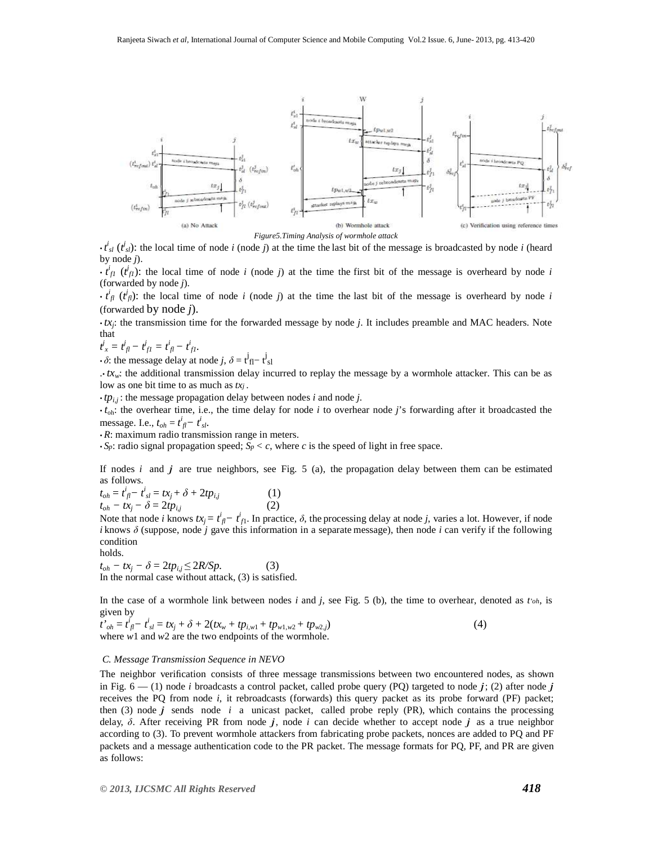

 $\cdot t_{sl}^i$  ( $t_{sl}^j$ ): the local time of node *i* (node *j*) at the time the last bit of the message is broadcasted by node *i* (heard by node *j*).

 $\cdot$   $\vec{t}_{f1}$  ( $\vec{t}_{f1}$ ): the local time of node *i* (node *j*) at the time the first bit of the message is overheard by node *i* (forwarded by node *j*).

 $\cdot$   $t^i_{jl}$  ( $t^j_{jl}$ ): the local time of node *i* (node *j*) at the time the last bit of the message is overheard by node *i* (forwarded by node *j*).

*• tx<sup>j</sup>* : the transmission time for the forwarded message by node *j*. It includes preamble and MAC headers. Note that

 $t^j_x = t^j_{\text{fl}} - t^j_{\text{fl}} = t^i_{\text{fl}} - t^i_{\text{fl}}.$ 

 $\cdot \delta$ : the message delay at node *j*,  $\delta = t^j_{\text{fl}} - t^j_{\text{sl}}$ 

.*• txw*: the additional transmission delay incurred to replay the message by a wormhole attacker. This can be as low as one bit time to as much as *txj* .

 $\cdot tp_{i,j}$ : the message propagation delay between nodes *i* and node *j*.

*• t*oh: the overhear time, i.e., the time delay for node *i* to overhear node *j*'s forwarding after it broadcasted the message. I.e.,  $t_{oh} = t_{fl}^i - t_{sl}^i$ .

*• R*: maximum radio transmission range in meters.

 $\cdot$  *S<sub>p</sub>*: radio signal propagation speed; *S<sub>p</sub>*  $\lt c$ , where *c* is the speed of light in free space.

If nodes *i* and *j* are true neighbors, see Fig. 5 (a), the propagation delay between them can be estimated as follows.

 $t_{oh} = t^i_{\ j} - t^i_{\ sl} = tx_j + \delta + 2tp_{i,j}$  (1)  $t_{oh} - tx_i - \delta = 2tp_{ij}$  (2)

Note that node *i* knows  $tx_j = t^i_{j1} - t^i_{j1}$ . In practice,  $\delta$ , the processing delay at node *j*, varies a lot. However, if node *i* knows *δ* (suppose, node *j* gave this information in a separate message), then node *i* can verify if the following condition  $h_0$ lds.

$$
t_{oh} - tx_j - \delta = 2tp_{i,j} \le 2R/Sp.
$$
 (3)

In the normal case without attack, (3) is satisfied.

In the case of a wormhole link between nodes *i* and *j*, see Fig. 5 (b), the time to overhear, denoted as *t'oh*, is given by

 $t'$ <sub>*oh*</sub> =  $t^i_{jl} - t^i_{sl} = tx_j + \delta + 2(tx_w + tp_{i,w1} + tp_{w1,w2} + tp_{w2,j})$  (4) where *w*1 and *w*2 are the two endpoints of the wormhole.

# *C. Message Transmission Sequence in NEVO*

The neighbor verification consists of three message transmissions between two encountered nodes, as shown in Fig.  $6 - (1)$  node *i* broadcasts a control packet, called probe query (PQ) targeted to node *j*; (2) after node *j* receives the PQ from node *i*, it rebroadcasts (forwards) this query packet as its probe forward (PF) packet; then (3) node *j* sends node *i* a unicast packet, called probe reply (PR), which contains the processing delay, *δ*. After receiving PR from node *j*, node *i* can decide whether to accept node *j* as a true neighbor according to (3). To prevent wormhole attackers from fabricating probe packets, nonces are added to PQ and PF packets and a message authentication code to the PR packet. The message formats for PQ, PF, and PR are given as follows: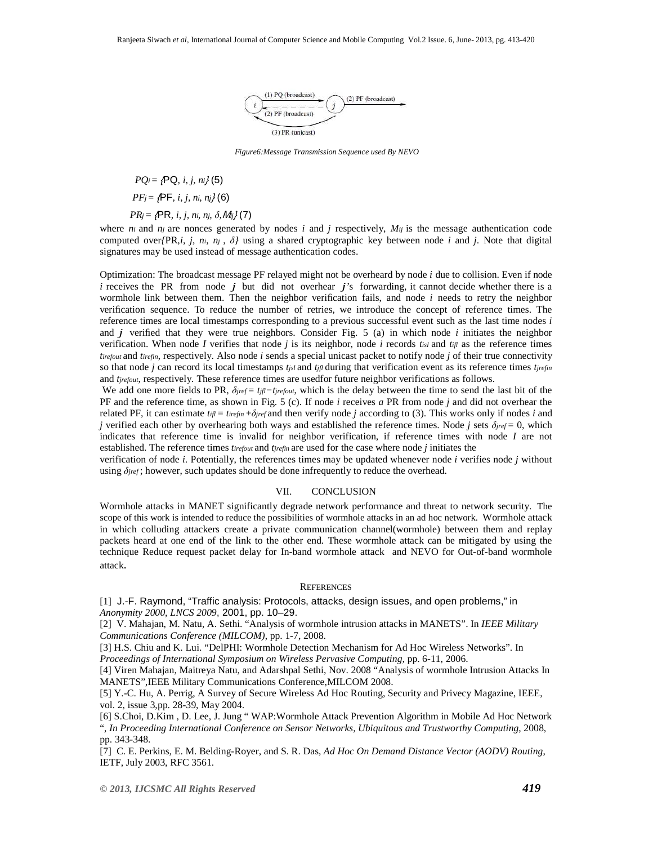

*Figure6:Message Transmission Sequence used By NEVO*

*PO<sub>i</sub>* =  $f$ **PQ**, *i*, *i*, *ni* $f$  (5)

 *PF*j = {PF*, i, j, n*i*, n*j} (6)

# *PR<sub>j</sub>* = { $PR$ *, i, j, ni, nj, δ, Mij*} (7)

where  $n_i$  and  $n_j$  are nonces generated by nodes  $i$  and  $j$  respectively,  $M_{ij}$  is the message authentication code computed over*{*PR,*i*, *j*, *ni*, *nj* , *δ}* using a shared cryptographic key between node *i* and *j*. Note that digital signatures may be used instead of message authentication codes.

Optimization: The broadcast message PF relayed might not be overheard by node *i* due to collision. Even if node *i* receives the PR from node *j* but did not overhear *j*'s forwarding, it cannot decide whether there is a wormhole link between them. Then the neighbor verification fails, and node *i* needs to retry the neighbor verification sequence. To reduce the number of retries, we introduce the concept of reference times. The reference times are local timestamps corresponding to a previous successful event such as the last time nodes *i*  and *j* verified that they were true neighbors. Consider Fig. 5 (a) in which node *i* initiates the neighbor verification. When node *I* verifies that node *j* is its neighbor, node *i* records  $t_{isl}$  and  $t_{ifl}$  as the reference times *tirefout* and *tirefin*, respectively. Also node *i* sends a special unicast packet to notify node *j* of their true connectivity so that node *j* can record its local timestamps  $t_{jsl}$  and  $t_{jjl}$  during that verification event as its reference times  $t_{jrefin}$ and *tjrefout*, respectively. These reference times are usedfor future neighbor verifications as follows.

We add one more fields to PR,  $δ_{jref} = t_{j}$ *f* $−t_{jref}$ <sub>*n*−*tjrefout*, which is the delay between the time to send the last bit of the</sub> PF and the reference time, as shown in Fig. 5 (c). If node *i* receives *a* PR from node *j* and did not overhear the related PF, it can estimate  $t_{\text{if}} = t_{\text{refin}} + \delta_{\text{irref}}$  and then verify node *j* according to (3). This works only if nodes *i* and *j* verified each other by overhearing both ways and established the reference times. Node *j* sets  $\delta_{\text{ref}} = 0$ , which indicates that reference time is invalid for neighbor verification, if reference times with node *I* are not established. The reference times *tirefout* and *tjrefin* are used for the case where node *j* initiates the

verification of node *i*. Potentially, the references times may be updated whenever node *i* verifies node *j* without using  $\delta_{\text{pref}}$ ; however, such updates should be done infrequently to reduce the overhead.

### VII. CONCLUSION

Wormhole attacks in MANET significantly degrade network performance and threat to network security. The scope of this work is intended to reduce the possibilities of wormhole attacks in an ad hoc network. Wormhole attack in which colluding attackers create a private communication channel(wormhole) between them and replay packets heard at one end of the link to the other end. These wormhole attack can be mitigated by using the technique Reduce request packet delay for In-band wormhole attack and NEVO for Out-of-band wormhole attack.

#### **REFERENCES**

[1] J.-F. Raymond, "Traffic analysis: Protocols, attacks, design issues, and open problems," in *Anonymity 2000, LNCS 2009*, 2001, pp. 10–29.

[2] V. Mahajan, M. Natu, A. Sethi. "Analysis of wormhole intrusion attacks in MANETS". In *IEEE Military Communications Conference (MILCOM)*, pp. 1-7, 2008.

[3] H.S. Chiu and K. Lui. "DelPHI: Wormhole Detection Mechanism for Ad Hoc Wireless Networks". In *Proceedings of International Symposium on Wireless Pervasive Computing,* pp. 6-11, 2006.

[4] Viren Mahajan, Maitreya Natu, and Adarshpal Sethi, Nov. 2008 "Analysis of wormhole Intrusion Attacks In MANETS",IEEE Military Communications Conference,MILCOM 2008.

[5] Y.-C. Hu, A. Perrig, A Survey of Secure Wireless Ad Hoc Routing, Security and Privecy Magazine, IEEE, vol. 2, issue 3,pp. 28-39, May 2004.

[6] S.Choi, D.Kim , D. Lee, J. Jung " WAP:Wormhole Attack Prevention Algorithm in Mobile Ad Hoc Network ", *In Proceeding International Conference on Sensor Networks, Ubiquitous and Trustworthy Computing*, 2008, pp. 343-348.

[7] C. E. Perkins, E. M. Belding-Royer, and S. R. Das, *Ad Hoc On Demand Distance Vector (AODV) Routing*, IETF, July 2003, RFC 3561.